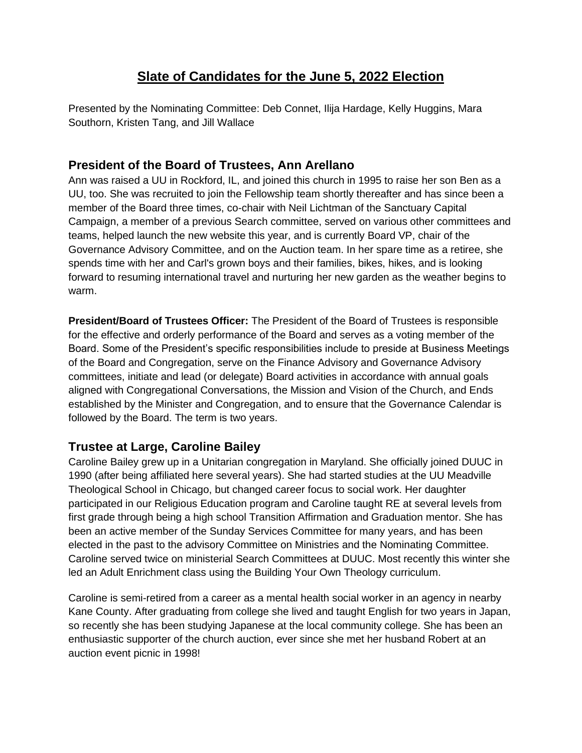# **Slate of Candidates for the June 5, 2022 Election**

Presented by the Nominating Committee: Deb Connet, Ilija Hardage, Kelly Huggins, Mara Southorn, Kristen Tang, and Jill Wallace

## **President of the Board of Trustees, Ann Arellano**

Ann was raised a UU in Rockford, IL, and joined this church in 1995 to raise her son Ben as a UU, too. She was recruited to join the Fellowship team shortly thereafter and has since been a member of the Board three times, co-chair with Neil Lichtman of the Sanctuary Capital Campaign, a member of a previous Search committee, served on various other committees and teams, helped launch the new website this year, and is currently Board VP, chair of the Governance Advisory Committee, and on the Auction team. In her spare time as a retiree, she spends time with her and Carl's grown boys and their families, bikes, hikes, and is looking forward to resuming international travel and nurturing her new garden as the weather begins to warm.

**President/Board of Trustees Officer:** The President of the Board of Trustees is responsible for the effective and orderly performance of the Board and serves as a voting member of the Board. Some of the President's specific responsibilities include to preside at Business Meetings of the Board and Congregation, serve on the Finance Advisory and Governance Advisory committees, initiate and lead (or delegate) Board activities in accordance with annual goals aligned with Congregational Conversations, the Mission and Vision of the Church, and Ends established by the Minister and Congregation, and to ensure that the Governance Calendar is followed by the Board. The term is two years.

## **Trustee at Large, Caroline Bailey**

Caroline Bailey grew up in a Unitarian congregation in Maryland. She officially joined DUUC in 1990 (after being affiliated here several years). She had started studies at the UU Meadville Theological School in Chicago, but changed career focus to social work. Her daughter participated in our Religious Education program and Caroline taught RE at several levels from first grade through being a high school Transition Affirmation and Graduation mentor. She has been an active member of the Sunday Services Committee for many years, and has been elected in the past to the advisory Committee on Ministries and the Nominating Committee. Caroline served twice on ministerial Search Committees at DUUC. Most recently this winter she led an Adult Enrichment class using the Building Your Own Theology curriculum.

Caroline is semi-retired from a career as a mental health social worker in an agency in nearby Kane County. After graduating from college she lived and taught English for two years in Japan, so recently she has been studying Japanese at the local community college. She has been an enthusiastic supporter of the church auction, ever since she met her husband Robert at an auction event picnic in 1998!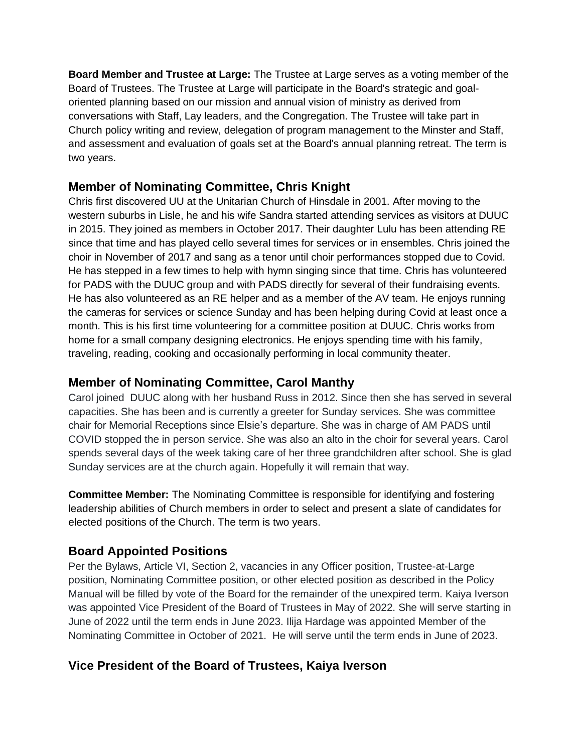**Board Member and Trustee at Large:** The Trustee at Large serves as a voting member of the Board of Trustees. The Trustee at Large will participate in the Board's strategic and goaloriented planning based on our mission and annual vision of ministry as derived from conversations with Staff, Lay leaders, and the Congregation. The Trustee will take part in Church policy writing and review, delegation of program management to the Minster and Staff, and assessment and evaluation of goals set at the Board's annual planning retreat. The term is two years.

#### **Member of Nominating Committee, Chris Knight**

Chris first discovered UU at the Unitarian Church of Hinsdale in 2001. After moving to the western suburbs in Lisle, he and his wife Sandra started attending services as visitors at DUUC in 2015. They joined as members in October 2017. Their daughter Lulu has been attending RE since that time and has played cello several times for services or in ensembles. Chris joined the choir in November of 2017 and sang as a tenor until choir performances stopped due to Covid. He has stepped in a few times to help with hymn singing since that time. Chris has volunteered for PADS with the DUUC group and with PADS directly for several of their fundraising events. He has also volunteered as an RE helper and as a member of the AV team. He enjoys running the cameras for services or science Sunday and has been helping during Covid at least once a month. This is his first time volunteering for a committee position at DUUC. Chris works from home for a small company designing electronics. He enjoys spending time with his family, traveling, reading, cooking and occasionally performing in local community theater.

## **Member of Nominating Committee, Carol Manthy**

Carol joined DUUC along with her husband Russ in 2012. Since then she has served in several capacities. She has been and is currently a greeter for Sunday services. She was committee chair for Memorial Receptions since Elsie's departure. She was in charge of AM PADS until COVID stopped the in person service. She was also an alto in the choir for several years. Carol spends several days of the week taking care of her three grandchildren after school. She is glad Sunday services are at the church again. Hopefully it will remain that way.

**Committee Member:** The Nominating Committee is responsible for identifying and fostering leadership abilities of Church members in order to select and present a slate of candidates for elected positions of the Church. The term is two years.

## **Board Appointed Positions**

Per the Bylaws, Article VI, Section 2, vacancies in any Officer position, Trustee-at-Large position, Nominating Committee position, or other elected position as described in the Policy Manual will be filled by vote of the Board for the remainder of the unexpired term. Kaiya Iverson was appointed Vice President of the Board of Trustees in May of 2022. She will serve starting in June of 2022 until the term ends in June 2023. Ilija Hardage was appointed Member of the Nominating Committee in October of 2021. He will serve until the term ends in June of 2023.

## **Vice President of the Board of Trustees, Kaiya Iverson**